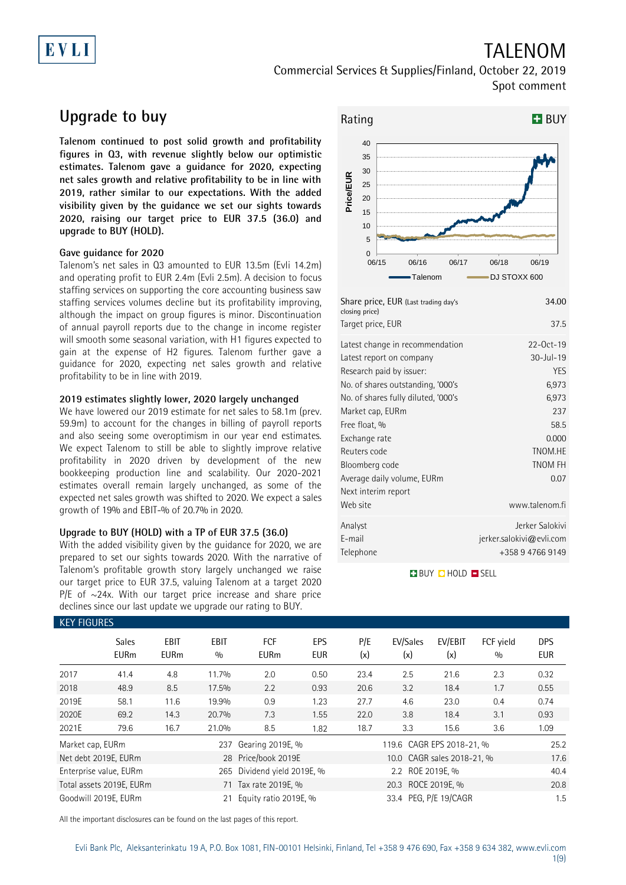# EVLI

## TALENOM Commercial Services & Supplies/Finland, October 22, 2019

Spot comment

## **Upgrade to buy**

**Talenom continued to post solid growth and profitability figures in Q3, with revenue slightly below our optimistic estimates. Talenom gave a guidance for 2020, expecting net sales growth and relative profitability to be in line with 2019, rather similar to our expectations. With the added visibility given by the guidance we set our sights towards 2020, raising our target price to EUR 37.5 (36.0) and upgrade to BUY (HOLD).**

### **Gave guidance for 2020**

Talenom's net sales in Q3 amounted to EUR 13.5m (Evli 14.2m) and operating profit to EUR 2.4m (Evli 2.5m). A decision to focus staffing services on supporting the core accounting business saw staffing services volumes decline but its profitability improving, although the impact on group figures is minor. Discontinuation of annual payroll reports due to the change in income register will smooth some seasonal variation, with H1 figures expected to gain at the expense of H2 figures. Talenom further gave a guidance for 2020, expecting net sales growth and relative profitability to be in line with 2019.

### **2019 estimates slightly lower, 2020 largely unchanged**

We have lowered our 2019 estimate for net sales to 58.1m (prev. 59.9m) to account for the changes in billing of payroll reports and also seeing some overoptimism in our year end estimates. We expect Talenom to still be able to slightly improve relative profitability in 2020 driven by development of the new bookkeeping production line and scalability. Our 2020-2021 estimates overall remain largely unchanged, as some of the expected net sales growth was shifted to 2020. We expect a sales growth of 19% and EBIT-% of 20.7% in 2020.

### **Upgrade to BUY (HOLD) with a TP of EUR 37.5 (36.0)**

With the added visibility given by the guidance for 2020, we are prepared to set our sights towards 2020. With the narrative of Talenom's profitable growth story largely unchanged we raise our target price to EUR 37.5, valuing Talenom at a target 2020 P/E of  $\sim$ 24x. With our target price increase and share price declines since our last update we upgrade our rating to BUY.



| Share price, EUR (Last trading day's<br>closing price) | 34.00                    |
|--------------------------------------------------------|--------------------------|
| Target price, EUR                                      | 37.5                     |
| Latest change in recommendation                        | 22-Oct-19                |
| Latest report on company                               | $30 -$ Jul-19            |
| Research paid by issuer:                               | <b>YES</b>               |
| No. of shares outstanding, '000's                      | 6,973                    |
| No. of shares fully diluted, '000's                    | 6,973                    |
| Market cap, EURm                                       | 237                      |
| Free float, %                                          | 58.5                     |
| Exchange rate                                          | 0.000                    |
| Reuters code                                           | TNOM.HE                  |
| Bloomberg code                                         | <b>TNOM FH</b>           |
| Average daily volume, EURm                             | 0.07                     |
| Next interim report                                    |                          |
| Web site                                               | www.talenom.fi           |
| Analyst                                                | Jerker Salokivi          |
| E-mail                                                 | jerker.salokivi@evli.com |
| Telephone                                              | +358 9 4766 9149         |

**BUY QHOLD SELL** 

| <b>KEY FIGURES</b> |                             |                            |                    |                           |                   |                    |                            |                |                  |                   |
|--------------------|-----------------------------|----------------------------|--------------------|---------------------------|-------------------|--------------------|----------------------------|----------------|------------------|-------------------|
|                    | <b>Sales</b><br><b>EURm</b> | <b>EBIT</b><br><b>EURm</b> | <b>EBIT</b><br>0/0 | <b>FCF</b><br><b>EURm</b> | EPS<br><b>EUR</b> | P/E<br>(x)         | EV/Sales<br>(x)            | EV/EBIT<br>(x) | FCF vield<br>0/0 | <b>DPS</b><br>EUR |
| 2017               | 41.4                        | 4.8                        | 11.7%              | 2.0                       | 0.50              | 23.4               | 2.5                        | 21.6           | 2.3              | 0.32              |
| 2018               | 48.9                        | 8.5                        | 17.5%              | 2.2                       | 0.93              | 20.6               | 3.2                        | 18.4           | 1.7              | 0.55              |
| 2019E              | 58.1                        | 11.6                       | 19.9%              | 0.9                       | 1.23              | 27.7               | 4.6                        | 23.0           | 0.4              | 0.74              |
| 2020E              | 69.2                        | 14.3                       | 20.7%              | 7.3                       | 1.55              | 22.0               | 3.8                        | 18.4           | 3.1              | 0.93              |
| 2021E              | 79.6                        | 16.7                       | 21.0%              | 8.5                       | 1.82              | 18.7               | 3.3                        | 15.6           | 3.6              | 1.09              |
| Market cap, EURm   |                             |                            | 237                | Gearing 2019E, %          |                   |                    | 119.6 CAGR EPS 2018-21, %  |                |                  | 25.2              |
|                    | Net debt 2019E, EURm        |                            |                    | 28 Price/book 2019E       |                   |                    | 10.0 CAGR sales 2018-21, % |                |                  | 17.6              |
|                    | Enterprise value, EURm      |                            | 265                | Dividend yield 2019E, %   |                   |                    |                            | 40.4           |                  |                   |
|                    | Total assets 2019E, EURm    |                            |                    | 71 Tax rate 2019E, %      |                   | 20.3 ROCE 2019E, % |                            |                |                  | 20.8              |
|                    | Goodwill 2019E, EURm        |                            | 21                 | Equity ratio 2019E, %     |                   |                    | 33.4 PEG, P/E 19/CAGR      |                |                  | 1.5               |

All the important disclosures can be found on the last pages of this report.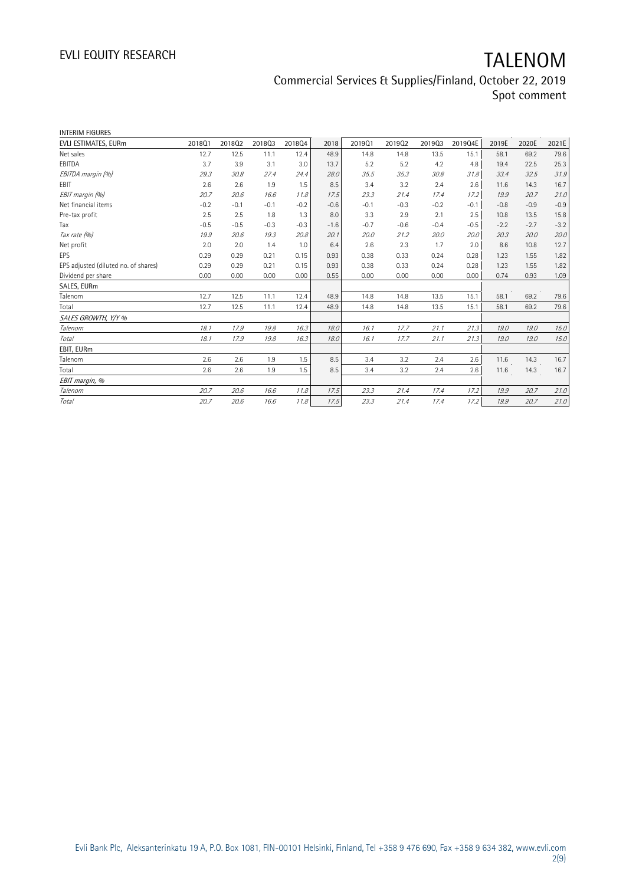Commercial Services & Supplies/Finland, October 22, 2019 Spot comment

| <b>INTERIM FIGURES</b>               |        |        |        |        |        |        |        |        |         |        |        |        |
|--------------------------------------|--------|--------|--------|--------|--------|--------|--------|--------|---------|--------|--------|--------|
| EVLI ESTIMATES, EURm                 | 201801 | 201802 | 201803 | 201804 | 2018   | 201901 | 201902 | 201903 | 2019Q4E | 2019E  | 2020E  | 2021E  |
| Net sales                            | 12.7   | 12.5   | 11.1   | 12.4   | 48.9   | 14.8   | 14.8   | 13.5   | 15.1    | 58.1   | 69.2   | 79.6   |
| EBITDA                               | 3.7    | 3.9    | 3.1    | 3.0    | 13.7   | 5.2    | 5.2    | 4.2    | 4.8     | 19.4   | 22.5   | 25.3   |
| EBITDA margin (%)                    | 29.3   | 30.8   | 27.4   | 24.4   | 28.0   | 35.5   | 35.3   | 30.8   | 31.8    | 33.4   | 32.5   | 31.9   |
| EBIT                                 | 2.6    | 2.6    | 1.9    | 1.5    | 8.5    | 3.4    | 3.2    | 2.4    | 2.6     | 11.6   | 14.3   | 16.7   |
| EBIT margin (%)                      | 20.7   | 20.6   | 16.6   | 11.8   | 17.5   | 23.3   | 21.4   | 17.4   | 17.2    | 19.9   | 20.7   | 21.0   |
| Net financial items                  | $-0.2$ | $-0.1$ | $-0.1$ | $-0.2$ | $-0.6$ | $-0.1$ | $-0.3$ | $-0.2$ | $-0.1$  | $-0.8$ | $-0.9$ | $-0.9$ |
| Pre-tax profit                       | 2.5    | 2.5    | 1.8    | 1.3    | 8.0    | 3.3    | 2.9    | 2.1    | 2.5     | 10.8   | 13.5   | 15.8   |
| Tax                                  | $-0.5$ | $-0.5$ | $-0.3$ | $-0.3$ | $-1.6$ | $-0.7$ | $-0.6$ | $-0.4$ | $-0.5$  | $-2.2$ | $-2.7$ | $-3.2$ |
| Tax rate (%)                         | 19.9   | 20.6   | 19.3   | 20.8   | 20.1   | 20.0   | 21.2   | 20.0   | 20.0    | 20.3   | 20.0   | 20.0   |
| Net profit                           | 2.0    | 2.0    | 1.4    | 1.0    | 6.4    | 2.6    | 2.3    | 1.7    | 2.0     | 8.6    | 10.8   | 12.7   |
| EPS                                  | 0.29   | 0.29   | 0.21   | 0.15   | 0.93   | 0.38   | 0.33   | 0.24   | 0.28    | 1.23   | 1.55   | 1.82   |
| EPS adjusted (diluted no. of shares) | 0.29   | 0.29   | 0.21   | 0.15   | 0.93   | 0.38   | 0.33   | 0.24   | 0.28    | 1.23   | 1.55   | 1.82   |
| Dividend per share                   | 0.00   | 0.00   | 0.00   | 0.00   | 0.55   | 0.00   | 0.00   | 0.00   | 0.00    | 0.74   | 0.93   | 1.09   |
| SALES, EURm                          |        |        |        |        |        |        |        |        |         |        |        |        |
| Talenom                              | 12.7   | 12.5   | 11.1   | 12.4   | 48.9   | 14.8   | 14.8   | 13.5   | 15.1    | 58.1   | 69.2   | 79.6   |
| Total                                | 12.7   | 12.5   | 11.1   | 12.4   | 48.9   | 14.8   | 14.8   | 13.5   | 15.1    | 58.1   | 69.2   | 79.6   |
| SALES GROWTH, Y/Y %                  |        |        |        |        |        |        |        |        |         |        |        |        |
| Talenom                              | 18.1   | 17.9   | 19.8   | 16.3   | 18.0   | 16.1   | 17.7   | 21.1   | 21.3    | 19.0   | 19.0   | 15.0   |
| <b>Total</b>                         | 18.1   | 17.9   | 19.8   | 16.3   | 18.0   | 16.1   | 17.7   | 21.1   | 21.3    | 19.0   | 19.0   | 15.0   |
| EBIT, EURm                           |        |        |        |        |        |        |        |        |         |        |        |        |
| Talenom                              | 2.6    | 2.6    | 1.9    | 1.5    | 8.5    | 3.4    | 3.2    | 2.4    | 2.6     | 11.6   | 14.3   | 16.7   |
| Total                                | 2.6    | 2.6    | 1.9    | 1.5    | 8.5    | 3.4    | 3.2    | 2.4    | 2.6     | 11.6   | 14.3   | 16.7   |
| EBIT margin, %                       |        |        |        |        |        |        |        |        |         |        |        |        |
| Talenom                              | 20.7   | 20.6   | 16.6   | 11.8   | 17.5   | 23.3   | 21.4   | 17.4   | 17.2    | 19.9   | 20.7   | 21.0   |
| Total                                | 20.7   | 20.6   | 16.6   | 11.8   | 17.5   | 23.3   | 21.4   | 17.4   | 17.2    | 19.9   | 20.7   | 21.0   |
|                                      |        |        |        |        |        |        |        |        |         |        |        |        |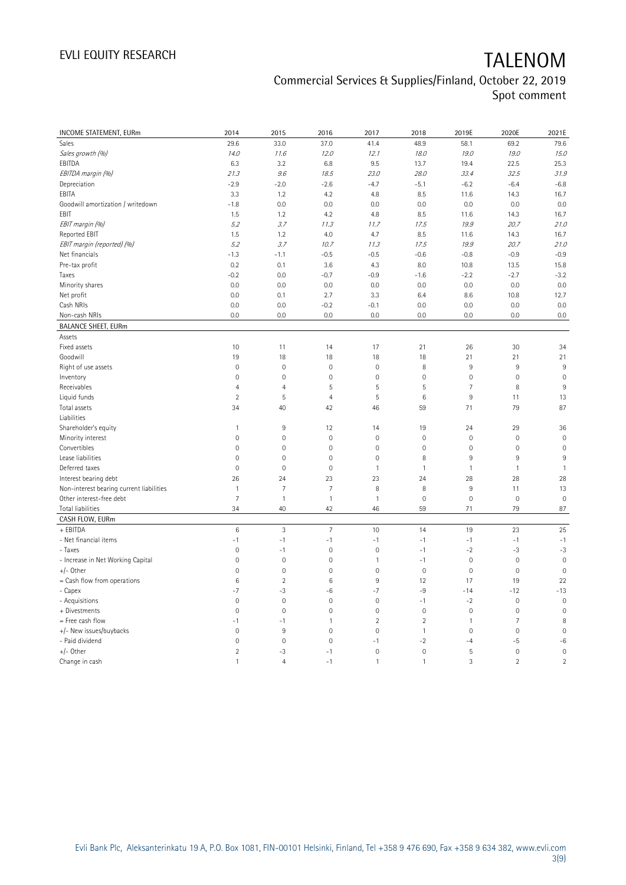### Commercial Services & Supplies/Finland, October 22, 2019 Spot comment

| <b>INCOME STATEMENT, EURm</b>            | 2014           | 2015                      | 2016           | 2017                | 2018           | 2019E               | 2020E          | 2021E               |
|------------------------------------------|----------------|---------------------------|----------------|---------------------|----------------|---------------------|----------------|---------------------|
| Sales                                    | 29.6           | 33.0                      | 37.0           | 41.4                | 48.9           | 58.1                | 69.2           | 79.6                |
| Sales growth (%)                         | 14.0           | 11.6                      | 12.0           | 12.1                | 18.0           | 19.0                | 19.0           | 15.0                |
| EBITDA                                   | 6.3            | 3.2                       | 6.8            | 9.5                 | 13.7           | 19.4                | 22.5           | 25.3                |
| EBITDA margin (%)                        | 21.3           | 9.6                       | 18.5           | 23.0                | 28.0           | 33.4                | 32.5           | 31.9                |
| Depreciation                             | $-2.9$         | $-2.0$                    | $-2.6$         | $-4.7$              | $-5.1$         | $-6.2$              | $-6.4$         | $-6.8$              |
| EBITA                                    | 3.3            | 1.2                       | 4.2            | 4.8                 | 8.5            | 11.6                | 14.3           | 16.7                |
| Goodwill amortization / writedown        | $-1.8$         | 0.0                       | 0.0            | 0.0                 | 0.0            | 0.0                 | 0.0            | 0.0                 |
| EBIT                                     | 1.5            | 1.2                       | 4.2            | 4.8                 | 8.5            | 11.6                | 14.3           | 16.7                |
| EBIT margin (%)                          | 5.2            | 3.7                       | 11.3           |                     | 17.5           | 19.9                | 20.7           | 21.0                |
| Reported EBIT                            | 1.5            |                           | 4.0            | 11.7                | 8.5            |                     |                | 16.7                |
|                                          |                | 1.2                       |                | 4.7                 |                | 11.6                | 14.3           |                     |
| EBIT margin (reported) (%)               | 5.2            | 3.7                       | 10.7           | 11.3                | 17.5           | 19.9                | 20.7           | 21.0                |
| Net financials                           | $-1.3$         | $-1.1$                    | $-0.5$         | $-0.5$              | $-0.6$         | $-0.8$              | $-0.9$         | $-0.9$              |
| Pre-tax profit                           | 0.2            | 0.1                       | 3.6            | 4.3                 | 8.0            | 10.8                | 13.5           | 15.8                |
| Taxes                                    | $-0.2$         | 0.0                       | $-0.7$         | $-0.9$              | $-1.6$         | $-2.2$              | $-2.7$         | $-3.2$              |
| Minority shares                          | 0.0            | 0.0                       | 0.0            | 0.0                 | 0.0            | 0.0                 | 0.0            | 0.0                 |
| Net profit                               | 0.0            | 0.1                       | 2.7            | 3.3                 | 6.4            | 8.6                 | 10.8           | 12.7                |
| Cash NRIs                                | 0.0            | 0.0                       | $-0.2$         | $-0.1$              | 0.0            | 0.0                 | 0.0            | 0.0                 |
| Non-cash NRIs                            | 0.0            | 0.0                       | 0.0            | 0.0                 | 0.0            | 0.0                 | 0.0            | 0.0                 |
| <b>BALANCE SHEET, EURm</b>               |                |                           |                |                     |                |                     |                |                     |
| Assets                                   |                |                           |                |                     |                |                     |                |                     |
| Fixed assets                             | 10             | 11                        | 14             | 17                  | 21             | 26                  | 30             | 34                  |
| Goodwill                                 | 19             | 18                        | 18             | 18                  | 18             | 21                  | 21             | 21                  |
| Right of use assets                      | $\mathbf 0$    | $\mathbf 0$               | $\mathbf 0$    | $\circ$             | 8              | $\,9$               | 9              | 9                   |
| Inventory                                | $\mathbf 0$    | $\overline{0}$            | $\mathbf 0$    | $\mathbf 0$         | $\mathbf 0$    | $\mathsf{O}\xspace$ | $\mathbf 0$    | $\mathbf 0$         |
| Receivables                              | $\overline{4}$ | $\overline{4}$            | 5              | 5                   | 5              | $\overline{7}$      | 8              | 9                   |
| Liquid funds                             | $\overline{2}$ | 5                         | $\overline{4}$ | 5                   | 6              | 9                   | 11             | 13                  |
| Total assets                             | 34             | 40                        | 42             | 46                  | 59             | 71                  | 79             | 87                  |
| Liabilities                              |                |                           |                |                     |                |                     |                |                     |
| Shareholder's equity                     | $\mathbf{1}$   | 9                         | 12             | 14                  | 19             | 24                  | 29             | 36                  |
| Minority interest                        | $\mathbf 0$    | $\mathbf 0$               | $\mathbf 0$    | $\mathbf 0$         | $\mathbf 0$    | $\mathbb O$         | $\mathbf 0$    | $\mathsf{O}\xspace$ |
| Convertibles                             | $\mathbf 0$    | $\mathbf 0$               | $\mathbf 0$    | $\mathbf 0$         | $\mathbf 0$    | $\mathsf{O}\xspace$ | $\mathbf 0$    | $\mathbf 0$         |
| Lease liabilities                        | $\mathbf 0$    | $\mathbf 0$               | $\mathbf 0$    | $\mathbf 0$         | 8              | $9\,$               | $9\,$          | 9                   |
| Deferred taxes                           | $\mathbf 0$    | $\mathbf 0$               | $\mathbf 0$    | 1                   | $\mathbf{1}$   | $\mathbf{1}$        | $\mathbf{1}$   | $\mathbf{1}$        |
| Interest bearing debt                    | 26             | 24                        | 23             | 23                  | 24             | 28                  | 28             | 28                  |
| Non-interest bearing current liabilities | $\mathbf{1}$   | 7                         | 7              | 8                   | 8              | $\,9$               | 11             | 13                  |
| Other interest-free debt                 | $\overline{7}$ | $\mathbf{1}$              | $\mathbf{1}$   | 1                   | $\mathbf 0$    | $\mathbf 0$         | $\mathbf 0$    | $\mathbf 0$         |
| Total liabilities                        | 34             | 40                        | 42             | 46                  | 59             | 71                  | 79             | 87                  |
| CASH FLOW, EURm                          |                |                           |                |                     |                |                     |                |                     |
| + EBITDA                                 | $\,6$          | $\ensuremath{\mathsf{3}}$ | $\overline{7}$ | 10                  | 14             | 19                  | 23             | 25                  |
| - Net financial items                    | $-1$           | $-1$                      | $-1$           | $-1$                | $-1$           | $-1$                | $-1$           | $-1$                |
| - Taxes                                  | $\mathbf 0$    | $-1$                      | $\mathbb O$    | $\circ$             | $-1$           | $-2$                | $-3$           | $-3$                |
| - Increase in Net Working Capital        | $\mathbf 0$    | $\mathbf 0$               | $\mathbf 0$    | 1                   | $-1$           | $\mathsf{O}\xspace$ | $\mathbf 0$    | $\mathbf 0$         |
| +/- Other                                | $\mathbf 0$    | $\mathbf 0$               | $\mathbf 0$    | $\mathsf{O}\xspace$ | $\mathbf 0$    | $\mathsf{O}\xspace$ | $\mathbf 0$    | $\mathbf 0$         |
| = Cash flow from operations              | 6              | $\overline{c}$            | $\,6$          | 9                   | 12             | 17                  | 19             | 22                  |
| - Capex                                  | $-7$           | $-3$                      | $-6$           | $-7$                | $-9$           | $-14$               | $-12$          | $-13$               |
| - Acquisitions                           | $\mathbf{0}$   | $\mathbf 0$               | $\mathbf 0$    | $\mathbf 0$         | $-1$           | $-2$                | $\mathbf 0$    | $\mathbf 0$         |
| + Divestments                            | $\overline{0}$ | 0                         | $\mathbf{0}$   | $\mathbf 0$         | $\overline{0}$ | $\mathbf{0}$        | $\mathbf 0$    | $\overline{0}$      |
| = Free cash flow                         | $-1$           | $-1$                      | $\mathbf{1}$   | $\overline{c}$      | $\sqrt{2}$     | $\mathbf{1}$        | 7              | 8                   |
| +/- New issues/buybacks                  | $\mathbf 0$    | 9                         | $\mathbf 0$    | $\mathbf{0}$        | $\mathbf{1}$   | $\mathsf{O}\xspace$ | $\mathbf 0$    | $\mathbf 0$         |
| - Paid dividend                          | $\overline{0}$ | $\overline{0}$            | $\mathbf{0}$   | $-1$                | $-2$           | $-4$                | $-5$           | $-6$                |
| +/- Other                                | $\overline{2}$ | -3                        | $-1$           | $\mathbf 0$         | $\mathbf 0$    | 5                   | $\mathbf 0$    | $\mathbf 0$         |
| Change in cash                           | $\mathbf{1}$   | $\overline{4}$            | $-1$           | 1                   | $\mathbf{1}$   | 3                   | $\overline{2}$ | $\overline{2}$      |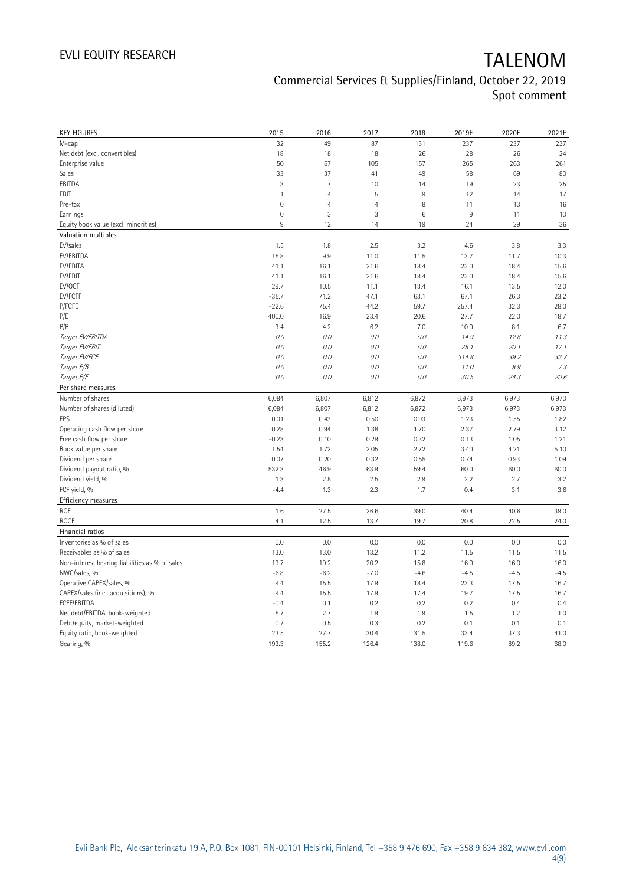### Commercial Services & Supplies/Finland, October 22, 2019 Spot comment

| <b>KEY FIGURES</b>                             | 2015           | 2016           | 2017           | 2018   | 2019E  | 2020E  | 2021E  |
|------------------------------------------------|----------------|----------------|----------------|--------|--------|--------|--------|
| М-сар                                          | 32             | 49             | 87             | 131    | 237    | 237    | 237    |
| Net debt (excl. convertibles)                  | 18             | 18             | 18             | 26     | 28     | 26     | 24     |
| Enterprise value                               | 50             | 67             | 105            | 157    | 265    | 263    | 261    |
| Sales                                          | 33             | 37             | 41             | 49     | 58     | 69     | 80     |
| EBITDA                                         | 3              | $\overline{7}$ | 10             | 14     | 19     | 23     | 25     |
| EBIT                                           | $\mathbf{1}$   | $\overline{4}$ | 5              | 9      | 12     | 14     | 17     |
| Pre-tax                                        | $\overline{0}$ | $\overline{4}$ | $\overline{4}$ | 8      | 11     | 13     | 16     |
| Earnings                                       | $\mathbf 0$    | 3              | 3              | 6      | $\,9$  | 11     | 13     |
| Equity book value (excl. minorities)           | 9              | 12             | 14             | 19     | 24     | 29     | 36     |
| Valuation multiples                            |                |                |                |        |        |        |        |
| EV/sales                                       | 1.5            | 1.8            | 2.5            | 3.2    | 4.6    | 3.8    | 3.3    |
| EV/EBITDA                                      | 15.8           | 9.9            | 11.0           | 11.5   | 13.7   | 11.7   | 10.3   |
| EV/EBITA                                       | 41.1           | 16.1           | 21.6           | 18.4   | 23.0   | 18.4   | 15.6   |
| EV/EBIT                                        | 41.1           | 16.1           | 21.6           | 18.4   | 23.0   | 18.4   | 15.6   |
| EV/OCF                                         | 29.7           | 10.5           | 11.1           | 13.4   | 16.1   | 13.5   | 12.0   |
| EV/FCFF                                        | $-35.7$        | 71.2           | 47.1           | 63.1   | 67.1   | 26.3   | 23.2   |
| P/FCFE                                         | $-22.6$        | 75.4           | 44.2           | 59.7   | 257.4  | 32.3   | 28.0   |
| P/E                                            | 400.0          | 16.9           | 23.4           | 20.6   | 27.7   | 22.0   | 18.7   |
| P/B                                            | 3.4            | 4.2            | 6.2            | 7.0    | 10.0   | 8.1    | 6.7    |
| Target EV/EBITDA                               | O.O            | 0.0            | 0.0            | 0.0    | 14.9   | 12.8   | 11.3   |
| Target EV/EBIT                                 | O.O            | 0.0            | 0.0            | 0.0    | 25.1   | 20.1   | 17.1   |
| Target EV/FCF                                  | $0.0$          | $0.0$          | 0.0            | $O.O$  | 314.8  | 39.2   | 33.7   |
| Target P/B                                     | O.O            | 0.0            | 0.0            | 0.0    | 11.0   | 8.9    | 7.3    |
| Target P/E                                     | 0.0            | 0.0            | $O.O$          | $O.O$  | 30.5   | 24.3   | 20.6   |
| Per share measures                             |                |                |                |        |        |        |        |
| Number of shares                               | 6,084          | 6,807          | 6,812          | 6,872  | 6,973  | 6,973  | 6,973  |
| Number of shares (diluted)                     | 6,084          | 6,807          | 6,812          | 6,872  | 6,973  | 6,973  | 6,973  |
| EPS                                            | 0.01           | 0.43           | 0.50           | 0.93   | 1.23   | 1.55   | 1.82   |
| Operating cash flow per share                  | 0.28           | 0.94           | 1.38           | 1.70   | 2.37   | 2.79   | 3.12   |
| Free cash flow per share                       | $-0.23$        | 0.10           | 0.29           | 0.32   | 0.13   | 1.05   | 1.21   |
| Book value per share                           | 1.54           | 1.72           | 2.05           | 2.72   | 3.40   | 4.21   | 5.10   |
| Dividend per share                             | 0.07           | 0.20           | 0.32           | 0.55   | 0.74   | 0.93   | 1.09   |
| Dividend payout ratio, %                       | 532.3          | 46.9           | 63.9           | 59.4   | 60.0   | 60.0   | 60.0   |
| Dividend yield, %                              | 1.3            | 2.8            | 2.5            | 2.9    | 2.2    | 2.7    | 3.2    |
| FCF yield, %                                   | $-4.4$         | 1.3            | 2.3            | 1.7    | 0.4    | 3.1    | 3.6    |
| Efficiency measures                            |                |                |                |        |        |        |        |
| ROE                                            | 1.6            | 27.5           | 26.6           | 39.0   | 40.4   | 40.6   | 39.0   |
| ROCE                                           | 4.1            | 12.5           | 13.7           | 19.7   | 20.8   | 22.5   | 24.0   |
| Financial ratios                               |                |                |                |        |        |        |        |
| Inventories as % of sales                      | 0.0            | 0.0            | 0.0            | 0.0    | 0.0    | 0.0    | 0.0    |
| Receivables as % of sales                      | 13.0           | 13.0           | 13.2           | 11.2   | 11.5   | 11.5   | 11.5   |
| Non-interest bearing liabilities as % of sales | 19.7           | 19.2           | 20.2           | 15.8   | 16.0   | 16.0   | 16.0   |
| NWC/sales, %                                   | $-6.8$         | $-6.2$         | $-7.0$         | $-4.6$ | $-4.5$ | $-4.5$ | $-4.5$ |
| Operative CAPEX/sales, %                       | 9.4            | 15.5           | 17.9           | 18.4   | 23.3   | 17.5   | 16.7   |
| CAPEX/sales (incl. acquisitions), %            | 9.4            | 15.5           | 17.9           | 17.4   | 19.7   | 17.5   | 16.7   |
| FCFF/EBITDA                                    | $-0.4$         | 0.1            | 0.2            | 0.2    | 0.2    | 0.4    | 0.4    |
| Net debt/EBITDA, book-weighted                 | 5.7            | 2.7            | 1.9            | 1.9    | 1.5    | 1.2    | 1.0    |
| Debt/equity, market-weighted                   | 0.7            | 0.5            | 0.3            | 0.2    | 0.1    | 0.1    | 0.1    |
| Equity ratio, book-weighted                    | 23.5           | 27.7           | 30.4           | 31.5   | 33.4   | 37.3   | 41.0   |
| Gearing, %                                     | 193.3          | 155.2          | 126.4          | 138.0  | 119.6  | 89.2   | 68.0   |
|                                                |                |                |                |        |        |        |        |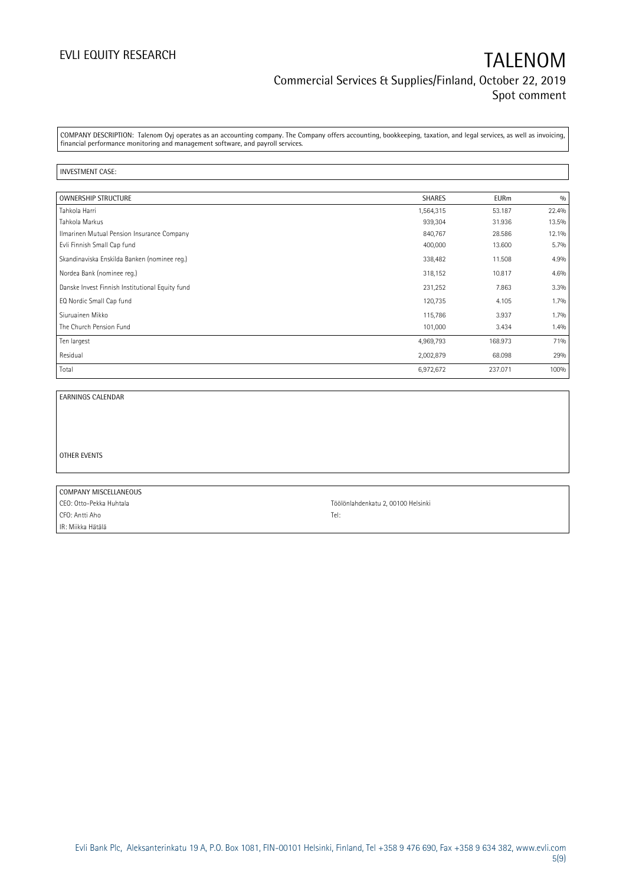COMPANY DESCRIPTION: Talenom Oyj operates as an accounting company. The Company offers accounting, bookkeeping, taxation, and legal services, as well as invoicing, financial performance monitoring and management software, and payroll services.

### INVESTMENT CASE:

| <b>OWNERSHIP STRUCTURE</b>                      | <b>SHARES</b> | <b>EURm</b> | 0/0     |
|-------------------------------------------------|---------------|-------------|---------|
| Tahkola Harri                                   | 1,564,315     | 53.187      | 22.4%   |
| Tahkola Markus                                  | 939,304       | 31.936      | 13.5%   |
| Ilmarinen Mutual Pension Insurance Company      | 840,767       | 28.586      | 12.1%   |
| Evli Finnish Small Cap fund                     | 400,000       | 13.600      | 5.7%    |
| Skandinaviska Enskilda Banken (nominee reg.)    | 338,482       | 11.508      | 4.9%    |
| Nordea Bank (nominee reg.)                      | 318,152       | 10.817      | 4.6%    |
| Danske Invest Finnish Institutional Equity fund | 231,252       | 7.863       | 3.3%    |
| EQ Nordic Small Cap fund                        | 120,735       | 4.105       | $1.7\%$ |
| Siuruainen Mikko                                | 115,786       | 3.937       | 1.7%    |
| The Church Pension Fund                         | 101,000       | 3.434       | 1.4%    |
| Ten largest                                     | 4,969,793     | 168.973     | 71%     |
| Residual                                        | 2,002,879     | 68.098      | 29%     |
| Total                                           | 6,972,672     | 237.071     | 100%    |

EARNINGS CALENDAR

OTHER EVENTS

| COMPANY MISCELLANEOUS   |                                    |
|-------------------------|------------------------------------|
| CEO: Otto-Pekka Huhtala | Töölönlahdenkatu 2, 00100 Helsinki |
| CFO: Antti Aho          | Tel:                               |
| IR: Miikka Hätälä       |                                    |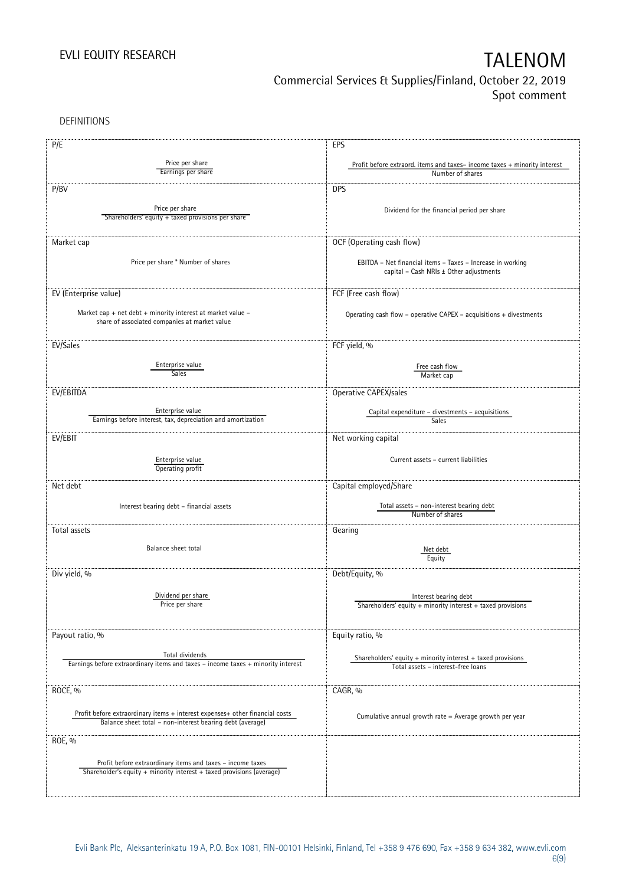DEFINITIONS

| P/E                                                                                                                                       | EPS                                                                                                   |
|-------------------------------------------------------------------------------------------------------------------------------------------|-------------------------------------------------------------------------------------------------------|
|                                                                                                                                           |                                                                                                       |
| Price per share<br>Earnings per share                                                                                                     | Profit before extraord. items and taxes-income taxes + minority interest<br>Number of shares          |
|                                                                                                                                           |                                                                                                       |
| P/BV                                                                                                                                      | <b>DPS</b>                                                                                            |
|                                                                                                                                           |                                                                                                       |
| Price per share                                                                                                                           | Dividend for the financial period per share                                                           |
| Shareholders' equity + taxed provisions per share                                                                                         |                                                                                                       |
|                                                                                                                                           |                                                                                                       |
| Market cap                                                                                                                                | OCF (Operating cash flow)                                                                             |
|                                                                                                                                           |                                                                                                       |
| Price per share * Number of shares                                                                                                        | EBITDA - Net financial items - Taxes - Increase in working                                            |
|                                                                                                                                           | capital - Cash NRIs ± Other adjustments                                                               |
|                                                                                                                                           |                                                                                                       |
| EV (Enterprise value)                                                                                                                     | FCF (Free cash flow)                                                                                  |
|                                                                                                                                           |                                                                                                       |
| Market cap + net debt + minority interest at market value -<br>share of associated companies at market value                              | Operating cash flow - operative CAPEX - acquisitions + divestments                                    |
|                                                                                                                                           |                                                                                                       |
|                                                                                                                                           |                                                                                                       |
| EV/Sales                                                                                                                                  | FCF yield, %                                                                                          |
| Enterprise value                                                                                                                          |                                                                                                       |
| <b>Sales</b>                                                                                                                              | Free cash flow<br>Market cap                                                                          |
|                                                                                                                                           |                                                                                                       |
| EV/EBITDA                                                                                                                                 | Operative CAPEX/sales                                                                                 |
|                                                                                                                                           |                                                                                                       |
| Enterprise value                                                                                                                          | Capital expenditure - divestments - acquisitions                                                      |
| Earnings before interest, tax, depreciation and amortization                                                                              | Sales                                                                                                 |
| EV/EBIT                                                                                                                                   | Net working capital                                                                                   |
|                                                                                                                                           |                                                                                                       |
| Enterprise value                                                                                                                          | Current assets - current liabilities                                                                  |
| Operating profit                                                                                                                          |                                                                                                       |
|                                                                                                                                           |                                                                                                       |
| Net debt                                                                                                                                  | Capital employed/Share                                                                                |
|                                                                                                                                           | Total assets - non-interest bearing debt                                                              |
| Interest bearing debt - financial assets                                                                                                  | Number of shares                                                                                      |
|                                                                                                                                           |                                                                                                       |
| Total assets                                                                                                                              | Gearing                                                                                               |
| Balance sheet total                                                                                                                       |                                                                                                       |
|                                                                                                                                           | Net debt<br>Equity                                                                                    |
|                                                                                                                                           |                                                                                                       |
| Div yield, %                                                                                                                              | Debt/Equity, %                                                                                        |
|                                                                                                                                           |                                                                                                       |
| Dividend per share                                                                                                                        | Interest bearing debt                                                                                 |
| Price per share                                                                                                                           | Shareholders' equity $+$ minority interest $+$ taxed provisions                                       |
|                                                                                                                                           |                                                                                                       |
| Payout ratio, %                                                                                                                           | Equity ratio, %                                                                                       |
|                                                                                                                                           |                                                                                                       |
| Total dividends                                                                                                                           |                                                                                                       |
| Earnings before extraordinary items and taxes - income taxes + minority interest                                                          | Shareholders' equity $+$ minority interest $+$ taxed provisions<br>Total assets - interest-free loans |
|                                                                                                                                           |                                                                                                       |
| ROCE, %                                                                                                                                   | CAGR, %                                                                                               |
|                                                                                                                                           |                                                                                                       |
|                                                                                                                                           |                                                                                                       |
| Profit before extraordinary items + interest expenses+ other financial costs<br>Balance sheet total - non-interest bearing debt (average) | Cumulative annual growth rate = Average growth per year                                               |
|                                                                                                                                           |                                                                                                       |
| ROE, %                                                                                                                                    |                                                                                                       |
|                                                                                                                                           |                                                                                                       |
| Profit before extraordinary items and taxes - income taxes                                                                                |                                                                                                       |
| Shareholder's equity + minority interest + taxed provisions (average)                                                                     |                                                                                                       |
|                                                                                                                                           |                                                                                                       |
|                                                                                                                                           |                                                                                                       |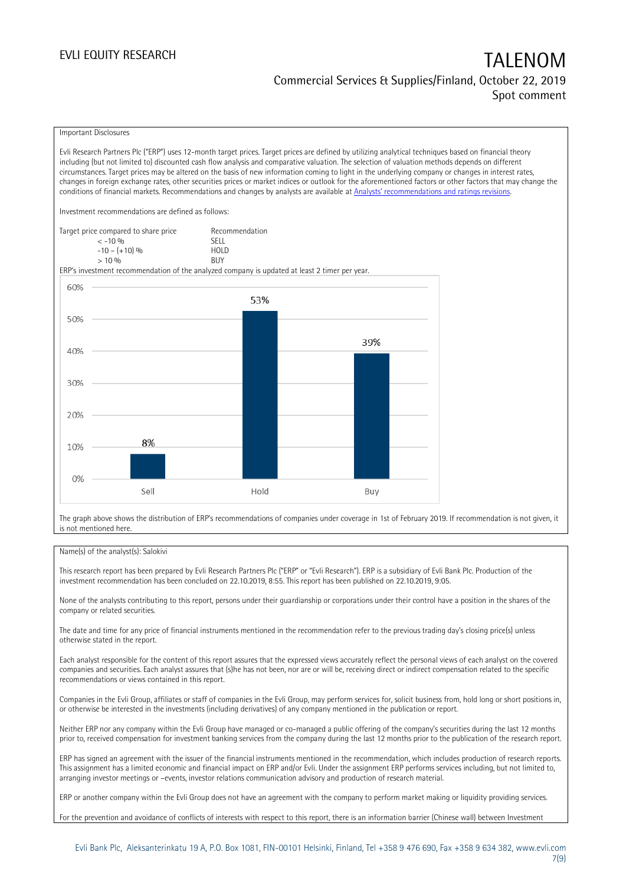### Important Disclosures

Evli Research Partners Plc ("ERP") uses 12-month target prices. Target prices are defined by utilizing analytical techniques based on financial theory including (but not limited to) discounted cash flow analysis and comparative valuation. The selection of valuation methods depends on different circumstances. Target prices may be altered on the basis of new information coming to light in the underlying company or changes in interest rates, changes in foreign exchange rates, other securities prices or market indices or outlook for the aforementioned factors or other factors that may change the conditions of financial markets. Recommendations and changes by analysts are available at [Analysts' recommendations and ratings revisions](https://research.evli.com/JasperAllModels.action?authParam=key;461&authParam=x;G3rNagWrtf7K&authType=3). Investment recommendations are defined as follows: Target price compared to share price Recommendation < -10 % SELL  $-10 - (+10) \%$  HOL<br>  $> 10 \%$  BUY  $> 10\%$ ERP's investment recommendation of the analyzed company is updated at least 2 timer per year. 60% 53% 50% 39% 40% 30% 20% 8% 10%  $0%$ Hold Sell Buy

The graph above shows the distribution of ERP's recommendations of companies under coverage in 1st of February 2019. If recommendation is not given, it is not mentioned here.

### Name(s) of the analyst(s): Salokivi

This research report has been prepared by Evli Research Partners Plc ("ERP" or "Evli Research"). ERP is a subsidiary of Evli Bank Plc. Production of the investment recommendation has been concluded on 22.10.2019, 8:55. This report has been published on 22.10.2019, 9:05.

None of the analysts contributing to this report, persons under their guardianship or corporations under their control have a position in the shares of the company or related securities.

The date and time for any price of financial instruments mentioned in the recommendation refer to the previous trading day's closing price(s) unless otherwise stated in the report.

Each analyst responsible for the content of this report assures that the expressed views accurately reflect the personal views of each analyst on the covered companies and securities. Each analyst assures that (s)he has not been, nor are or will be, receiving direct or indirect compensation related to the specific recommendations or views contained in this report.

Companies in the Evli Group, affiliates or staff of companies in the Evli Group, may perform services for, solicit business from, hold long or short positions in, or otherwise be interested in the investments (including derivatives) of any company mentioned in the publication or report.

Neither ERP nor any company within the Evli Group have managed or co-managed a public offering of the company's securities during the last 12 months prior to, received compensation for investment banking services from the company during the last 12 months prior to the publication of the research report.

ERP has signed an agreement with the issuer of the financial instruments mentioned in the recommendation, which includes production of research reports. This assignment has a limited economic and financial impact on ERP and/or Evli. Under the assignment ERP performs services including, but not limited to, arranging investor meetings or –events, investor relations communication advisory and production of research material.

ERP or another company within the Evli Group does not have an agreement with the company to perform market making or liquidity providing services.

For the prevention and avoidance of conflicts of interests with respect to this report, there is an information barrier (Chinese wall) between Investment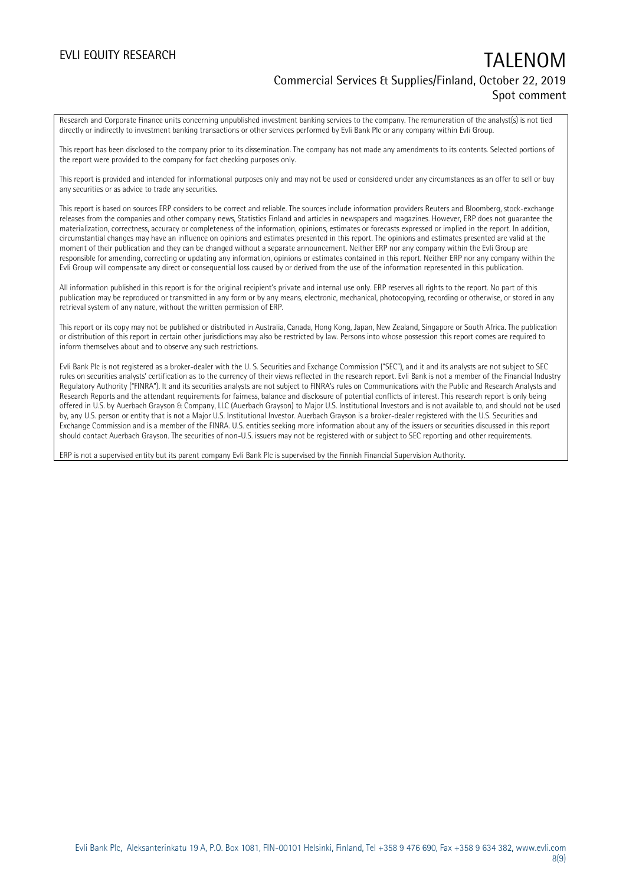Research and Corporate Finance units concerning unpublished investment banking services to the company. The remuneration of the analyst(s) is not tied directly or indirectly to investment banking transactions or other services performed by Evli Bank Plc or any company within Evli Group.

This report has been disclosed to the company prior to its dissemination. The company has not made any amendments to its contents. Selected portions of the report were provided to the company for fact checking purposes only.

This report is provided and intended for informational purposes only and may not be used or considered under any circumstances as an offer to sell or buy any securities or as advice to trade any securities.

This report is based on sources ERP considers to be correct and reliable. The sources include information providers Reuters and Bloomberg, stock-exchange releases from the companies and other company news, Statistics Finland and articles in newspapers and magazines. However, ERP does not guarantee the materialization, correctness, accuracy or completeness of the information, opinions, estimates or forecasts expressed or implied in the report. In addition, circumstantial changes may have an influence on opinions and estimates presented in this report. The opinions and estimates presented are valid at the moment of their publication and they can be changed without a separate announcement. Neither ERP nor any company within the Evli Group are responsible for amending, correcting or updating any information, opinions or estimates contained in this report. Neither ERP nor any company within the Evli Group will compensate any direct or consequential loss caused by or derived from the use of the information represented in this publication.

All information published in this report is for the original recipient's private and internal use only. ERP reserves all rights to the report. No part of this publication may be reproduced or transmitted in any form or by any means, electronic, mechanical, photocopying, recording or otherwise, or stored in any retrieval system of any nature, without the written permission of ERP.

This report or its copy may not be published or distributed in Australia, Canada, Hong Kong, Japan, New Zealand, Singapore or South Africa. The publication or distribution of this report in certain other jurisdictions may also be restricted by law. Persons into whose possession this report comes are required to inform themselves about and to observe any such restrictions.

Evli Bank Plc is not registered as a broker-dealer with the U. S. Securities and Exchange Commission ("SEC"), and it and its analysts are not subject to SEC rules on securities analysts' certification as to the currency of their views reflected in the research report. Evli Bank is not a member of the Financial Industry Regulatory Authority ("FINRA"). It and its securities analysts are not subject to FINRA's rules on Communications with the Public and Research Analysts and Research Reports and the attendant requirements for fairness, balance and disclosure of potential conflicts of interest. This research report is only being offered in U.S. by Auerbach Grayson & Company, LLC (Auerbach Grayson) to Major U.S. Institutional Investors and is not available to, and should not be used by, any U.S. person or entity that is not a Major U.S. Institutional Investor. Auerbach Grayson is a broker-dealer registered with the U.S. Securities and Exchange Commission and is a member of the FINRA. U.S. entities seeking more information about any of the issuers or securities discussed in this report should contact Auerbach Grayson. The securities of non-U.S. issuers may not be registered with or subject to SEC reporting and other requirements.

ERP is not a supervised entity but its parent company Evli Bank Plc is supervised by the Finnish Financial Supervision Authority.